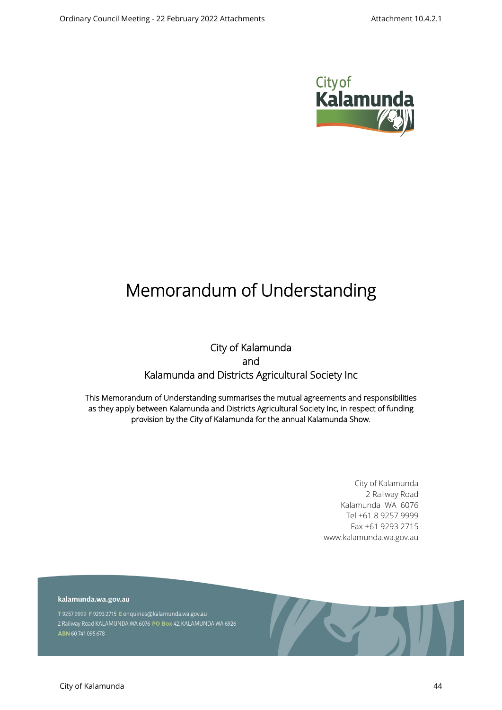

# **Memorandum of Understanding**

## **City of Kalamunda and Kalamunda and Districts Agricultural Society Inc**

**This Memorandum of Understanding summarises the mutual agreements and responsibilities as they apply between Kalamunda and Districts Agricultural Society Inc, in respect of funding provision by the City of Kalamunda for the annual Kalamunda Show.**

> City of Kalamunda 2 Railway Road Kalamunda WA 6076 Tel +61 8 9257 9999 Fax +61 9293 2715 www.kalamunda.wa.gov.au

kalamunda.wa.gov.au

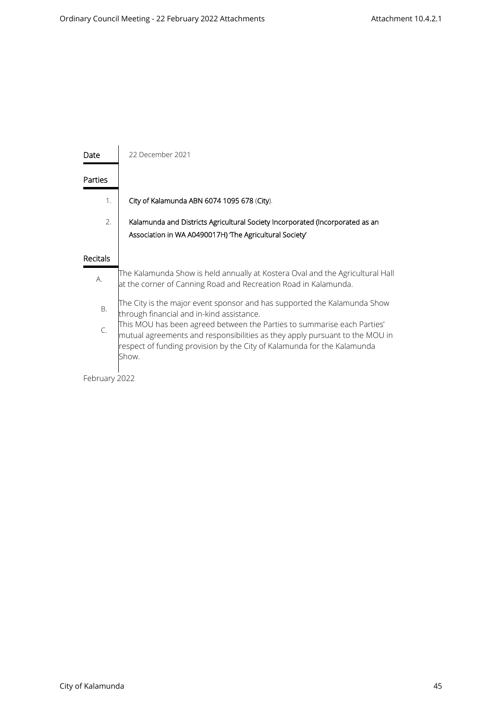| Date            | 22 December 2021                                                                                                                                                                                                                           |  |
|-----------------|--------------------------------------------------------------------------------------------------------------------------------------------------------------------------------------------------------------------------------------------|--|
| Parties         |                                                                                                                                                                                                                                            |  |
| 1.              | City of Kalamunda ABN 6074 1095 678 (City).                                                                                                                                                                                                |  |
| 2.              | Kalamunda and Districts Agricultural Society Incorporated (Incorporated as an<br>Association in WA A0490017H) The Agricultural Society                                                                                                     |  |
| <b>Recitals</b> |                                                                                                                                                                                                                                            |  |
| А.              | The Kalamunda Show is held annually at Kostera Oval and the Agricultural Hall<br>at the corner of Canning Road and Recreation Road in Kalamunda.                                                                                           |  |
| Β.              | The City is the major event sponsor and has supported the Kalamunda Show<br>through financial and in-kind assistance.                                                                                                                      |  |
| C.              | This MOU has been agreed between the Parties to summarise each Parties'<br>mutual agreements and responsibilities as they apply pursuant to the MOU in<br>respect of funding provision by the City of Kalamunda for the Kalamunda<br>Show. |  |

February 2022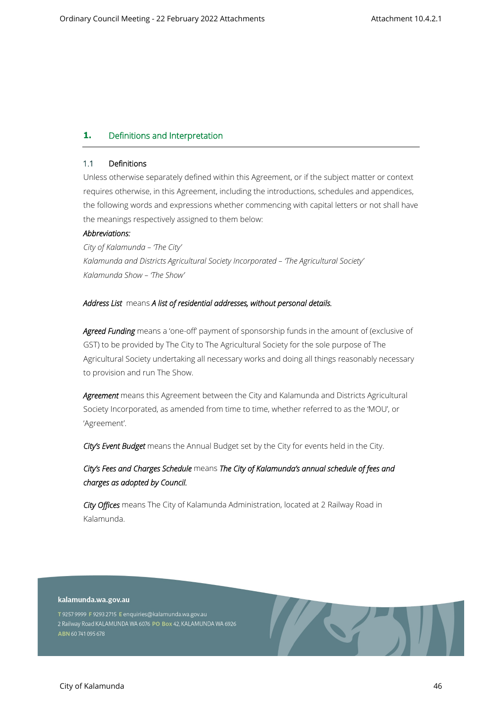## **1. Definitions and Interpretation**

#### **1.1 Definitions**

Unless otherwise separately defined within this Agreement, or if the subject matter or context requires otherwise, in this Agreement, including the introductions, schedules and appendices, the following words and expressions whether commencing with capital letters or not shall have the meanings respectively assigned to them below:

## *Abbreviations:*

*City of Kalamunda – 'The City' Kalamunda and Districts Agricultural Society Incorporated – 'The Agricultural Society' Kalamunda Show – 'The Show'*

#### *Address List* means *A list of residential addresses, without personal details.*

Agreed Funding means a 'one-off' payment of sponsorship funds in the amount of (exclusive of GST) to be provided by The City to The Agricultural Society for the sole purpose of The Agricultural Society undertaking all necessary works and doing all things reasonably necessary to provision and run The Show.

*Agreement* means this Agreement between the City and Kalamunda and Districts Agricultural Society Incorporated, as amended from time to time, whether referred to as the 'MOU', or 'Agreement'.

*City's Event Budget* means the Annual Budget set by the City for events held in the City.

## *City's Fees and Charges Schedule* means *The City of Kalamunda's annual schedule of fees and charges as adopted by Council.*

*City Offices* means The City of Kalamunda Administration, located at 2 Railway Road in Kalamunda.

#### kalamunda.wa.gov.au

T 9257 9999 F 9293 2715 E enquiries@kalamunda.wa.gov.au 2 Railway Road KALAMUNDA WA 6076 PO Box 42, KALAMUNDA WA 6926 ABN 60741095678

**The Second Second Second**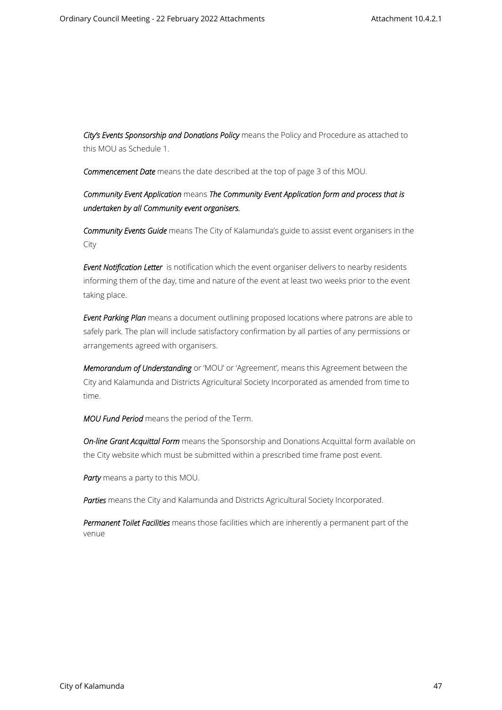*City's Events Sponsorship and Donations Policy* means the Policy and Procedure as attached to this MOU as Schedule 1.

*Commencement Date* means the date described at the top of page 3 of this MOU.

*Community Event Application* means *The Community Event Application form and process that is undertaken by all Community event organisers.*

*Community Events Guide* means The City of Kalamunda's guide to assist event organisers in the City

*Event Notification Letter* is notification which the event organiser delivers to nearby residents informing them of the day, time and nature of the event at least two weeks prior to the event taking place.

*Event Parking Plan* means a document outlining proposed locations where patrons are able to safely park. The plan will include satisfactory confirmation by all parties of any permissions or arrangements agreed with organisers.

*Memorandum of Understanding* or 'MOU' or 'Agreement', means this Agreement between the City and Kalamunda and Districts Agricultural Society Incorporated as amended from time to time.

*MOU Fund Period* means the period of the Term.

*On-line Grant Acquittal Form* means the Sponsorship and Donations Acquittal form available on the City website which must be submitted within a prescribed time frame post event.

*Party* means a party to this MOU.

*Parties* means the City and Kalamunda and Districts Agricultural Society Incorporated.

*Permanent Toilet Facilities* means those facilities which are inherently a permanent part of the venue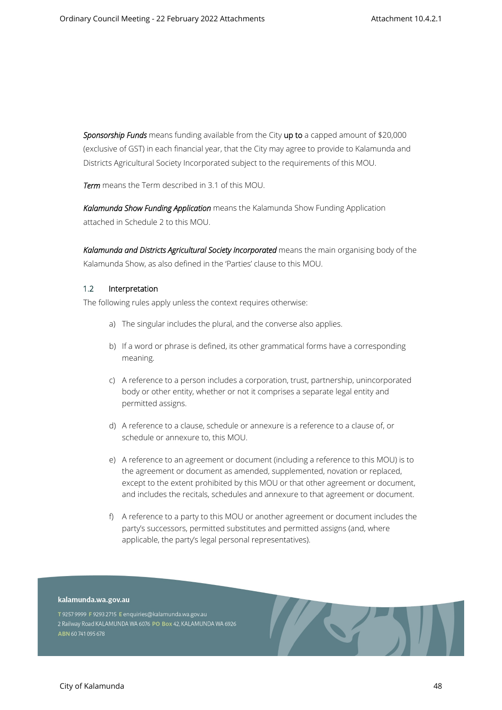*Sponsorship Funds* means funding available from the City **up to** a capped amount of \$20,000 (exclusive of GST) in each financial year, that the City may agree to provide to Kalamunda and Districts Agricultural Society Incorporated subject to the requirements of this MOU.

*Term* means the Term described in 3.1 of this MOU.

*Kalamunda Show Funding Application* means the Kalamunda Show Funding Application attached in Schedule 2 to this MOU.

Kalamunda and Districts Agricultural Society Incorporated means the main organising body of the Kalamunda Show, as also defined in the 'Parties' clause to this MOU.

#### **1.2 Interpretation**

The following rules apply unless the context requires otherwise:

- a) The singular includes the plural, and the converse also applies.
- b) If a word or phrase is defined, its other grammatical forms have a corresponding meaning.
- c) A reference to a person includes a corporation, trust, partnership, unincorporated body or other entity, whether or not it comprises a separate legal entity and permitted assigns.
- d) A reference to a clause, schedule or annexure is a reference to a clause of, or schedule or annexure to, this MOU.
- e) A reference to an agreement or document (including a reference to this MOU) is to the agreement or document as amended, supplemented, novation or replaced, except to the extent prohibited by this MOU or that other agreement or document, and includes the recitals, schedules and annexure to that agreement or document.
- f) A reference to a party to this MOU or another agreement or document includes the party's successors, permitted substitutes and permitted assigns (and, where applicable, the party's legal personal representatives).

AST.

#### kalamunda.wa.gov.au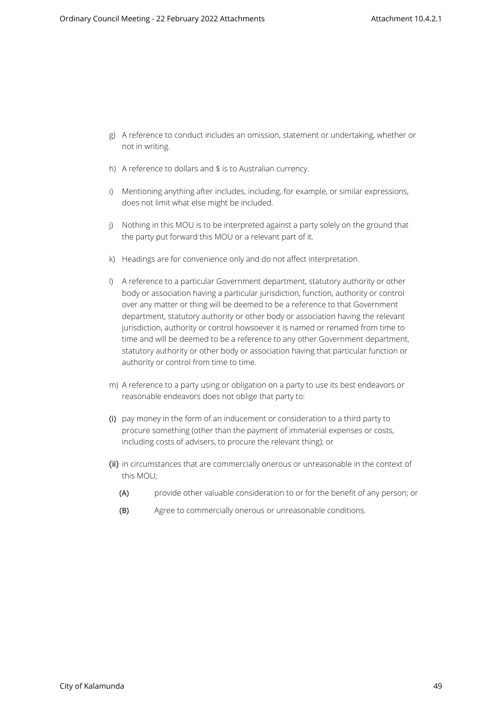- g) A reference to conduct includes an omission, statement or undertaking, whether or not in writing.
- h) A reference to dollars and \$ is to Australian currency.
- i) Mentioning anything after includes, including, for example, or similar expressions, does not limit what else might be included.
- j) Nothing in this MOU is to be interpreted against a party solely on the ground that the party put forward this MOU or a relevant part of it.
- k) Headings are for convenience only and do not affect interpretation.
- l) A reference to a particular Government department, statutory authority or other body or association having a particular jurisdiction, function, authority or control over any matter or thing will be deemed to be a reference to that Government department, statutory authority or other body or association having the relevant jurisdiction, authority or control howsoever it is named or renamed from time to time and will be deemed to be a reference to any other Government department, statutory authority or other body or association having that particular function or authority or control from time to time.
- m) A reference to a party using or obligation on a party to use its best endeavors or reasonable endeavors does not oblige that party to:
- (i) pay money in the form of an inducement or consideration to a third party to procure something (other than the payment of immaterial expenses or costs, including costs of advisers, to procure the relevant thing); or
- (ii) in circumstances that are commercially onerous or unreasonable in the context of this MOU;
	- (A) provide other valuable consideration to or for the benefit of any person; or
	- (B) Agree to commercially onerous or unreasonable conditions.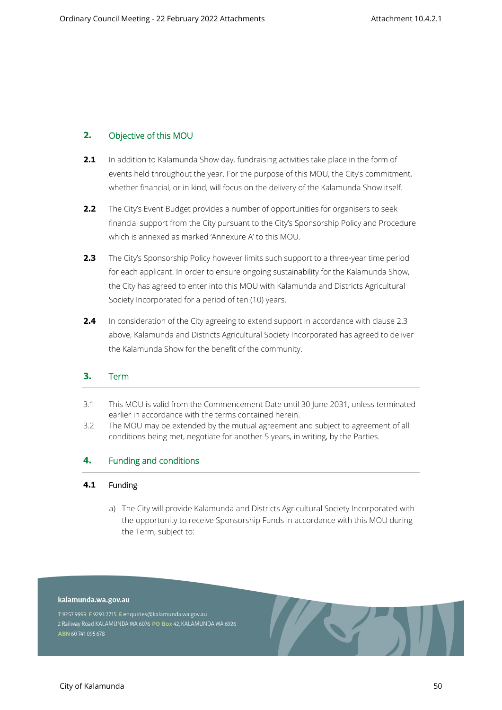## **2. Objective of this MOU**

- **2.1** In addition to Kalamunda Show day, fundraising activities take place in the form of events held throughout the year. For the purpose of this MOU, the City's commitment, whether financial, or in kind, will focus on the delivery of the Kalamunda Show itself.
- **2.2** The City's Event Budget provides a number of opportunities for organisers to seek financial support from the City pursuant to the City's Sponsorship Policy and Procedure which is annexed as marked 'Annexure A' to this MOU.
- **2.3** The City's Sponsorship Policy however limits such support to a three-year time period for each applicant. In order to ensure ongoing sustainability for the Kalamunda Show, the City has agreed to enter into this MOU with Kalamunda and Districts Agricultural Society Incorporated for a period of ten (10) years.
- **2.4** In consideration of the City agreeing to extend support in accordance with clause 2.3 above, Kalamunda and Districts Agricultural Society Incorporated has agreed to deliver the Kalamunda Show for the benefit of the community.

## **3. Term**

- 3.1 This MOU is valid from the Commencement Date until 30 June 2031, unless terminated earlier in accordance with the terms contained herein.
- 3.2 The MOU may be extended by the mutual agreement and subject to agreement of all conditions being met, negotiate for another 5 years, in writing, by the Parties.

## **4. Funding and conditions**

#### **4.1 Funding**

a) The City will provide Kalamunda and Districts Agricultural Society Incorporated with the opportunity to receive Sponsorship Funds in accordance with this MOU during the Term, subject to:

#### kalamunda.wa.gov.au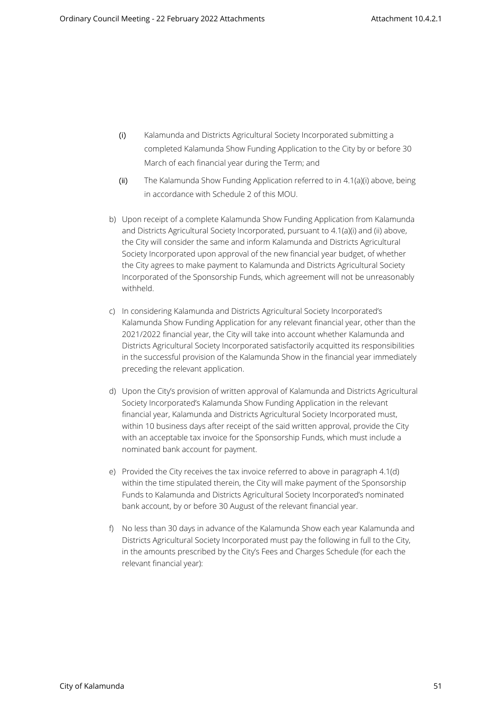- (i) Kalamunda and Districts Agricultural Society Incorporated submitting a completed Kalamunda Show Funding Application to the City by or before 30 March of each financial year during the Term; and
- (ii) The Kalamunda Show Funding Application referred to in 4.1(a)(i) above, being in accordance with Schedule 2 of this MOU.
- b) Upon receipt of a complete Kalamunda Show Funding Application from Kalamunda and Districts Agricultural Society Incorporated, pursuant to 4.1(a)(i) and (ii) above, the City will consider the same and inform Kalamunda and Districts Agricultural Society Incorporated upon approval of the new financial year budget, of whether the City agrees to make payment to Kalamunda and Districts Agricultural Society Incorporated of the Sponsorship Funds, which agreement will not be unreasonably withheld.
- c) In considering Kalamunda and Districts Agricultural Society Incorporated's Kalamunda Show Funding Application for any relevant financial year, other than the 2021/2022 financial year, the City will take into account whether Kalamunda and Districts Agricultural Society Incorporated satisfactorily acquitted its responsibilities in the successful provision of the Kalamunda Show in the financial year immediately preceding the relevant application.
- d) Upon the City's provision of written approval of Kalamunda and Districts Agricultural Society Incorporated's Kalamunda Show Funding Application in the relevant financial year, Kalamunda and Districts Agricultural Society Incorporated must, within 10 business days after receipt of the said written approval, provide the City with an acceptable tax invoice for the Sponsorship Funds, which must include a nominated bank account for payment.
- e) Provided the City receives the tax invoice referred to above in paragraph 4.1(d) within the time stipulated therein, the City will make payment of the Sponsorship Funds to Kalamunda and Districts Agricultural Society Incorporated's nominated bank account, by or before 30 August of the relevant financial year.
- f) No less than 30 days in advance of the Kalamunda Show each year Kalamunda and Districts Agricultural Society Incorporated must pay the following in full to the City, in the amounts prescribed by the City's Fees and Charges Schedule (for each the relevant financial year):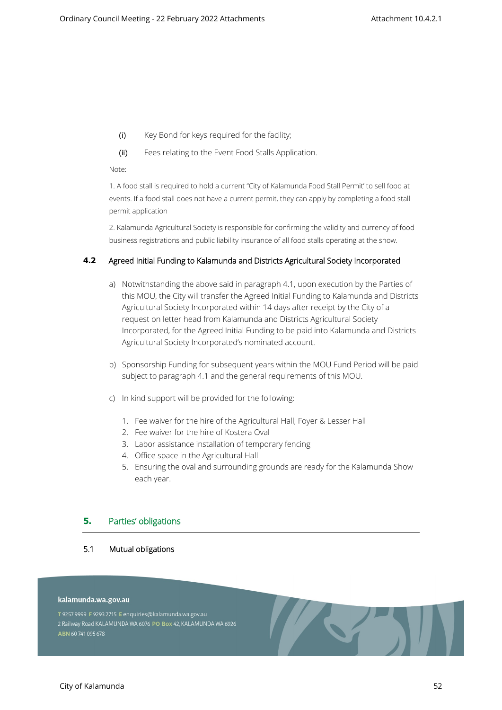- (i) Key Bond for keys required for the facility;
- (ii) Fees relating to the Event Food Stalls Application.

Note:

1. A food stall is required to hold a current "City of Kalamunda Food Stall Permit' to sell food at events. If a food stall does not have a current permit, they can apply by completing a food stall permit application

2. Kalamunda Agricultural Society is responsible for confirming the validity and currency of food business registrations and public liability insurance of all food stalls operating at the show.

## **4.2 Agreed Initial Funding to Kalamunda and Districts Agricultural Society Incorporated**

- a) Notwithstanding the above said in paragraph 4.1, upon execution by the Parties of this MOU, the City will transfer the Agreed Initial Funding to Kalamunda and Districts Agricultural Society Incorporated within 14 days after receipt by the City of a request on letter head from Kalamunda and Districts Agricultural Society Incorporated, for the Agreed Initial Funding to be paid into Kalamunda and Districts Agricultural Society Incorporated's nominated account.
- b) Sponsorship Funding for subsequent years within the MOU Fund Period will be paid subject to paragraph 4.1 and the general requirements of this MOU.
- c) In kind support will be provided for the following:
	- 1. Fee waiver for the hire of the Agricultural Hall, Foyer & Lesser Hall
	- 2. Fee waiver for the hire of Kostera Oval
	- 3. Labor assistance installation of temporary fencing
	- 4. Office space in the Agricultural Hall
	- 5. Ensuring the oval and surrounding grounds are ready for the Kalamunda Show each year.

**TEST** 

## **5. Parties' obligations**

**5.1 Mutual obligations**

#### kalamunda.wa.gov.au

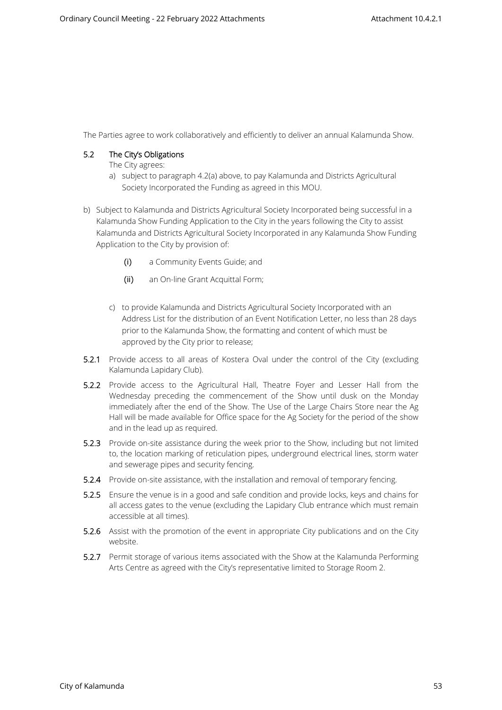The Parties agree to work collaboratively and efficiently to deliver an annual Kalamunda Show.

## **5.2 The City's Obligations**

The City agrees:

- a) subject to paragraph 4.2(a) above, to pay Kalamunda and Districts Agricultural Society Incorporated the Funding as agreed in this MOU.
- b) Subject to Kalamunda and Districts Agricultural Society Incorporated being successful in a Kalamunda Show Funding Application to the City in the years following the City to assist Kalamunda and Districts Agricultural Society Incorporated in any Kalamunda Show Funding Application to the City by provision of:
	- (i) a Community Events Guide; and
	- (ii) an On-line Grant Acquittal Form;
	- c) to provide Kalamunda and Districts Agricultural Society Incorporated with an Address List for the distribution of an Event Notification Letter, no less than 28 days prior to the Kalamunda Show, the formatting and content of which must be approved by the City prior to release;
- **5.2.1** Provide access to all areas of Kostera Oval under the control of the City (excluding Kalamunda Lapidary Club).
- **5.2.2** Provide access to the Agricultural Hall, Theatre Foyer and Lesser Hall from the Wednesday preceding the commencement of the Show until dusk on the Monday immediately after the end of the Show. The Use of the Large Chairs Store near the Ag Hall will be made available for Office space for the Ag Society for the period of the show and in the lead up as required.
- **5.2.3** Provide on-site assistance during the week prior to the Show, including but not limited to, the location marking of reticulation pipes, underground electrical lines, storm water and sewerage pipes and security fencing.
- **5.2.4** Provide on-site assistance, with the installation and removal of temporary fencing.
- **5.2.5** Ensure the venue is in a good and safe condition and provide locks, keys and chains for all access gates to the venue (excluding the Lapidary Club entrance which must remain accessible at all times).
- **5.2.6** Assist with the promotion of the event in appropriate City publications and on the City website.
- **5.2.7** Permit storage of various items associated with the Show at the Kalamunda Performing Arts Centre as agreed with the City's representative limited to Storage Room 2.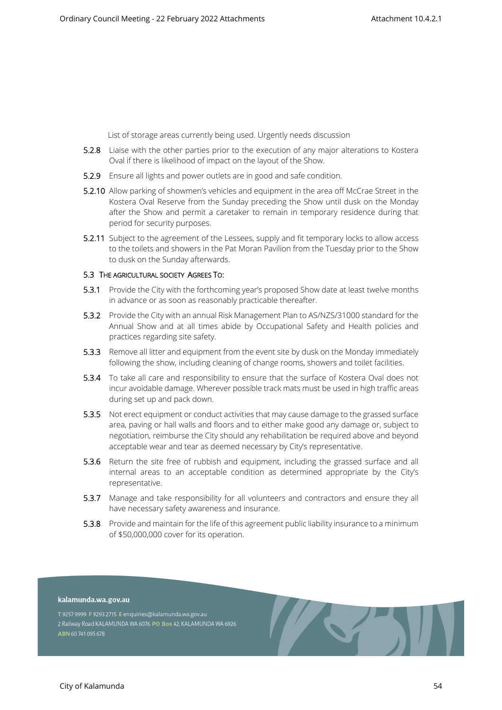List of storage areas currently being used. Urgently needs discussion

- **5.2.8** Liaise with the other parties prior to the execution of any major alterations to Kostera Oval if there is likelihood of impact on the layout of the Show.
- **5.2.9** Ensure all lights and power outlets are in good and safe condition.
- **5.2.10** Allow parking of showmen's vehicles and equipment in the area off McCrae Street in the Kostera Oval Reserve from the Sunday preceding the Show until dusk on the Monday after the Show and permit a caretaker to remain in temporary residence during that period for security purposes.
- **5.2.11** Subject to the agreement of the Lessees, supply and fit temporary locks to allow access to the toilets and showers in the Pat Moran Pavilion from the Tuesday prior to the Show to dusk on the Sunday afterwards.

#### **5.3 THE AGRICULTURAL SOCIETY AGREES TO:**

- **5.3.1** Provide the City with the forthcoming year's proposed Show date at least twelve months in advance or as soon as reasonably practicable thereafter.
- **5.3.2** Provide the City with an annual Risk Management Plan to AS/NZS/31000 standard for the Annual Show and at all times abide by Occupational Safety and Health policies and practices regarding site safety.
- **5.3.3** Remove all litter and equipment from the event site by dusk on the Monday immediately following the show, including cleaning of change rooms, showers and toilet facilities.
- **5.3.4** To take all care and responsibility to ensure that the surface of Kostera Oval does not incur avoidable damage. Wherever possible track mats must be used in high traffic areas during set up and pack down.
- **5.3.5** Not erect equipment or conduct activities that may cause damage to the grassed surface area, paving or hall walls and floors and to either make good any damage or, subject to negotiation, reimburse the City should any rehabilitation be required above and beyond acceptable wear and tear as deemed necessary by City's representative.
- **5.3.6** Return the site free of rubbish and equipment, including the grassed surface and all internal areas to an acceptable condition as determined appropriate by the City's representative.
- **5.3.7** Manage and take responsibility for all volunteers and contractors and ensure they all have necessary safety awareness and insurance.
- **5.3.8** Provide and maintain for the life of this agreement public liability insurance to a minimum of \$50,000,000 cover for its operation.

**TEST** 

#### kalamunda.wa.gov.au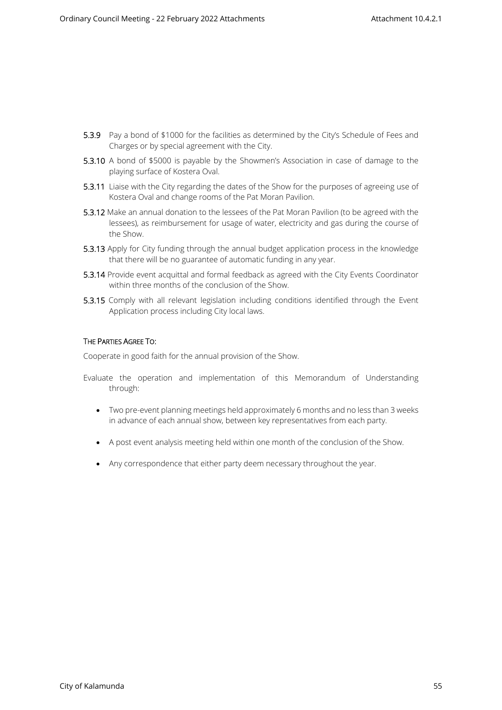- **5.3.9** Pay a bond of \$1000 for the facilities as determined by the City's Schedule of Fees and Charges or by special agreement with the City.
- **5.3.10** A bond of \$5000 is payable by the Showmen's Association in case of damage to the playing surface of Kostera Oval.
- **5.3.11** Liaise with the City regarding the dates of the Show for the purposes of agreeing use of Kostera Oval and change rooms of the Pat Moran Pavilion.
- **5.3.12** Make an annual donation to the lessees of the Pat Moran Pavilion (to be agreed with the lessees), as reimbursement for usage of water, electricity and gas during the course of the Show.
- **5.3.13** Apply for City funding through the annual budget application process in the knowledge that there will be no guarantee of automatic funding in any year.
- **5.3.14** Provide event acquittal and formal feedback as agreed with the City Events Coordinator within three months of the conclusion of the Show.
- **5.3.15** Comply with all relevant legislation including conditions identified through the Event Application process including City local laws.

#### **THE PARTIES AGREE TO:**

Cooperate in good faith for the annual provision of the Show.

- Evaluate the operation and implementation of this Memorandum of Understanding through:
	- Two pre-event planning meetings held approximately 6 months and no less than 3 weeks in advance of each annual show, between key representatives from each party.
	- A post event analysis meeting held within one month of the conclusion of the Show.
	- Any correspondence that either party deem necessary throughout the year.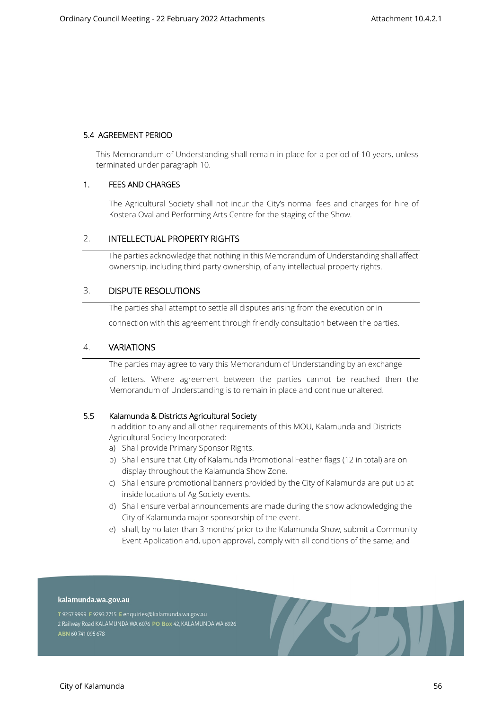#### **5.4 AGREEMENT PERIOD**

This Memorandum of Understanding shall remain in place for a period of 10 years, unless terminated under paragraph 10.

#### **1. FEES AND CHARGES**

The Agricultural Society shall not incur the City's normal fees and charges for hire of Kostera Oval and Performing Arts Centre for the staging of the Show.

## 2. **INTELLECTUAL PROPERTY RIGHTS**

The parties acknowledge that nothing in this Memorandum of Understanding shall affect ownership, including third party ownership, of any intellectual property rights.

## 3. **DISPUTE RESOLUTIONS**

The parties shall attempt to settle all disputes arising from the execution or in connection with this agreement through friendly consultation between the parties.

## 4. **VARIATIONS**

The parties may agree to vary this Memorandum of Understanding by an exchange

of letters. Where agreement between the parties cannot be reached then the Memorandum of Understanding is to remain in place and continue unaltered.

#### **5.5 Kalamunda & Districts Agricultural Society**

In addition to any and all other requirements of this MOU, Kalamunda and Districts Agricultural Society Incorporated:

- a) Shall provide Primary Sponsor Rights.
- b) Shall ensure that City of Kalamunda Promotional Feather flags (12 in total) are on display throughout the Kalamunda Show Zone.
- c) Shall ensure promotional banners provided by the City of Kalamunda are put up at inside locations of Ag Society events.
- d) Shall ensure verbal announcements are made during the show acknowledging the City of Kalamunda major sponsorship of the event.
- e) shall, by no later than 3 months' prior to the Kalamunda Show, submit a Community Event Application and, upon approval, comply with all conditions of the same; and

**START** 

#### kalamunda.wa.gov.au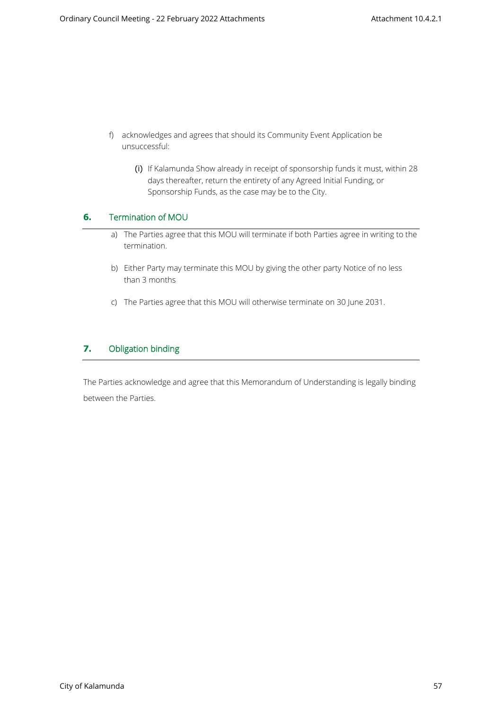- f) acknowledges and agrees that should its Community Event Application be unsuccessful:
	- (i) If Kalamunda Show already in receipt of sponsorship funds it must, within 28 days thereafter, return the entirety of any Agreed Initial Funding, or Sponsorship Funds, as the case may be to the City.

## **6. Termination of MOU**

- a) The Parties agree that this MOU will terminate if both Parties agree in writing to the termination.
- b) Either Party may terminate this MOU by giving the other party Notice of no less than 3 months
- c) The Parties agree that this MOU will otherwise terminate on 30 June 2031.

## **7. Obligation binding**

The Parties acknowledge and agree that this Memorandum of Understanding is legally binding between the Parties.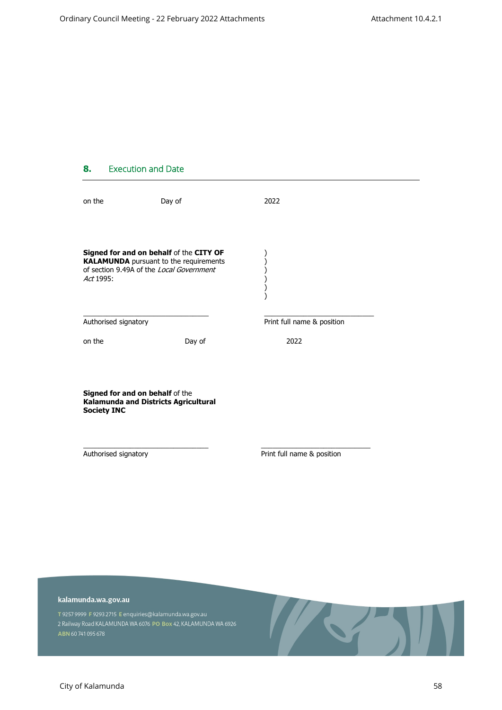## **8. Execution and Date**

| on the                                                                                                                                            | Day of | 2022                       |  |
|---------------------------------------------------------------------------------------------------------------------------------------------------|--------|----------------------------|--|
| Signed for and on behalf of the CITY OF<br><b>KALAMUNDA</b> pursuant to the requirements<br>of section 9.49A of the Local Government<br>Act 1995: |        |                            |  |
| Authorised signatory                                                                                                                              |        | Print full name & position |  |
| on the                                                                                                                                            | Day of | 2022                       |  |
| Signed for and on behalf of the<br>Kalamunda and Districts Agricultural<br><b>Society INC</b>                                                     |        |                            |  |
| Authorised signatory                                                                                                                              |        | Print full name & position |  |

#### kalamunda.wa.gov.au

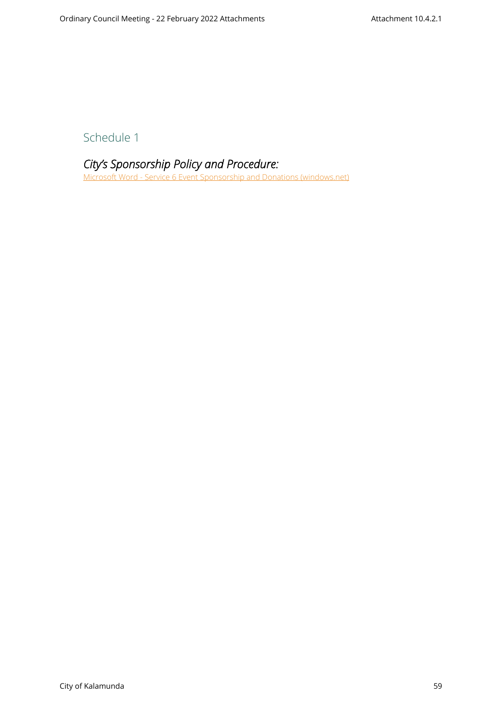Schedule 1

## *City's Sponsorship Policy and Procedure:*

[Microsoft Word - Service 6 Event Sponsorship and Donations \(windows.net\)](https://kalblob.blob.core.windows.net/kallibrary/docs/default-source/policies/event-sponsorship-and-donations-service-6.pdf?sfvrsn=eff18361_13)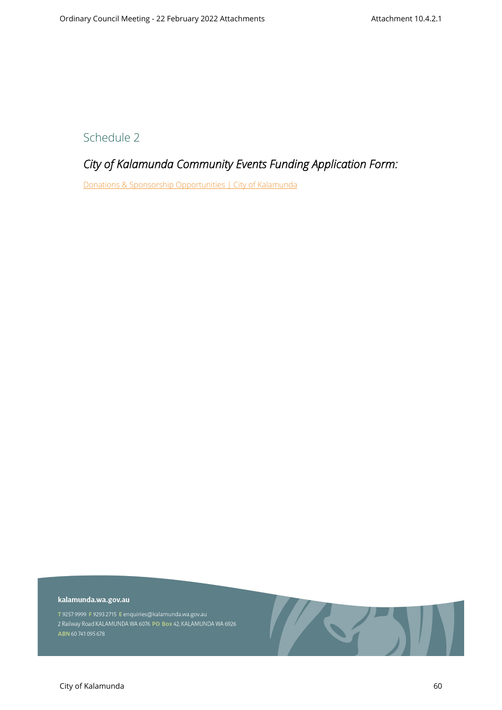Schedule 2

## *City of Kalamunda Community Events Funding Application Form:*

[Donations & Sponsorship Opportunities | City of Kalamunda](https://www.kalamunda.wa.gov.au/our-city/events-workshops/donations-sponsorship-opportunities)

#### kalamunda.wa.gov.au